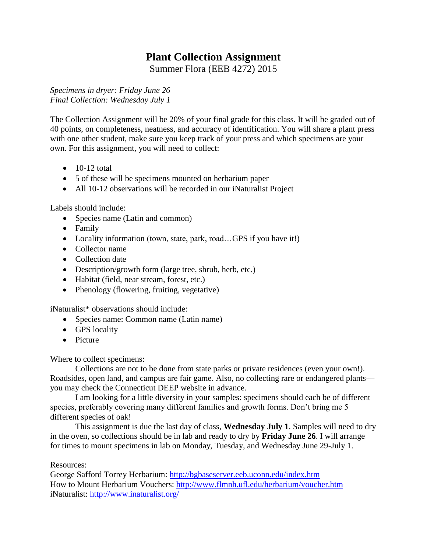# **Plant Collection Assignment**

Summer Flora (EEB 4272) 2015

*Specimens in dryer: Friday June 26 Final Collection: Wednesday July 1*

The Collection Assignment will be 20% of your final grade for this class. It will be graded out of 40 points, on completeness, neatness, and accuracy of identification. You will share a plant press with one other student, make sure you keep track of your press and which specimens are your own. For this assignment, you will need to collect:

- $\bullet$  10-12 total
- 5 of these will be specimens mounted on herbarium paper
- All 10-12 observations will be recorded in our iNaturalist Project

Labels should include:

- Species name (Latin and common)
- Family
- Locality information (town, state, park, road…GPS if you have it!)
- Collector name
- Collection date
- Description/growth form (large tree, shrub, herb, etc.)
- Habitat (field, near stream, forest, etc.)
- Phenology (flowering, fruiting, vegetative)

iNaturalist\* observations should include:

- Species name: Common name (Latin name)
- GPS locality
- Picture

Where to collect specimens:

Collections are not to be done from state parks or private residences (even your own!). Roadsides, open land, and campus are fair game. Also, no collecting rare or endangered plants you may check the Connecticut DEEP website in advance.

I am looking for a little diversity in your samples: specimens should each be of different species, preferably covering many different families and growth forms. Don't bring me 5 different species of oak!

This assignment is due the last day of class, **Wednesday July 1**. Samples will need to dry in the oven, so collections should be in lab and ready to dry by **Friday June 26**. I will arrange for times to mount specimens in lab on Monday, Tuesday, and Wednesday June 29-July 1.

#### Resources:

George Safford Torrey Herbarium:<http://bgbaseserver.eeb.uconn.edu/index.htm> How to Mount Herbarium Vouchers:<http://www.flmnh.ufl.edu/herbarium/voucher.htm> iNaturalist:<http://www.inaturalist.org/>